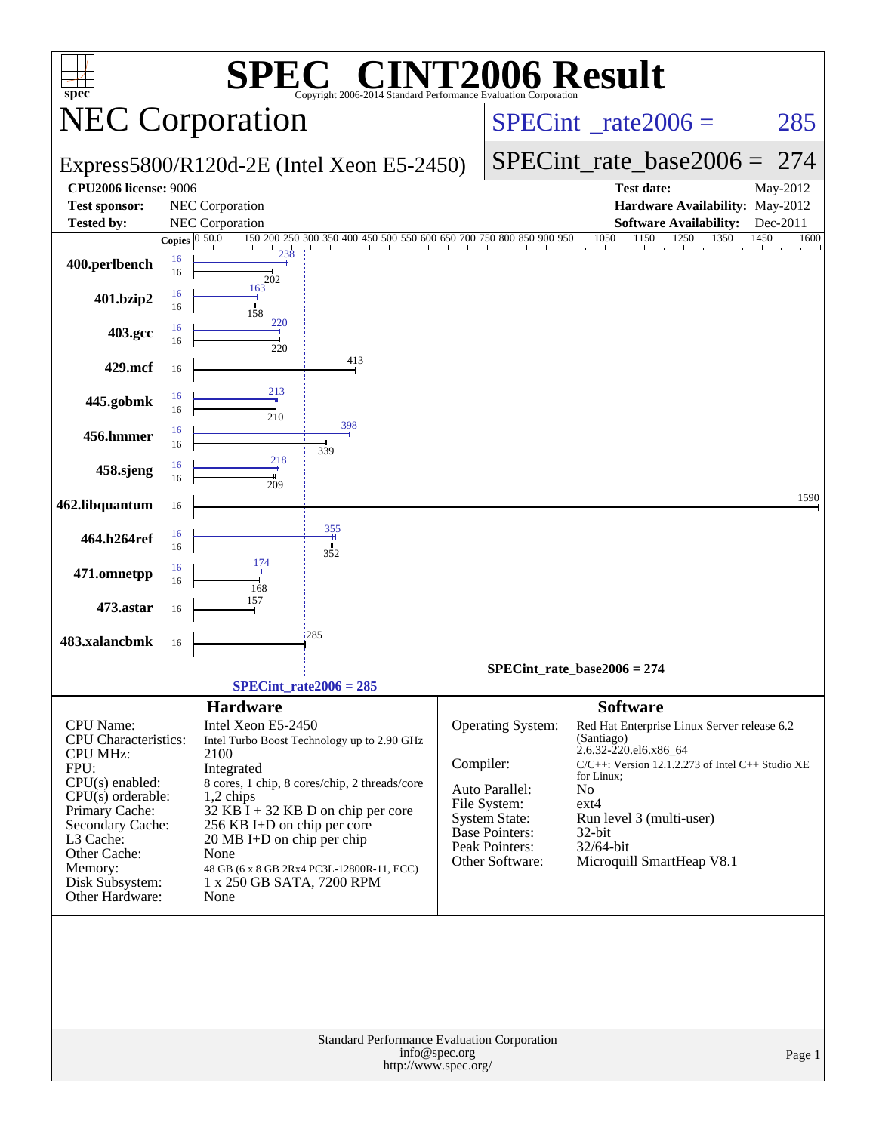| <b>C® CINT2006 Result</b><br>spec <sup>®</sup><br>Copyright 2006-2014 Standard Performance Evaluation Corporation<br><b>NEC Corporation</b><br>Express5800/R120d-2E (Intel Xeon E5-2450)                                                                                                                                                                                                                                                                                                                                                                                                                                                    | 285<br>$SPECint^{\circ}$ <sub>_rate2006</sub> =<br>$SPECint_rate\_base2006 =$<br>274                                                                                                                                                                                                                                                                                                                   |
|---------------------------------------------------------------------------------------------------------------------------------------------------------------------------------------------------------------------------------------------------------------------------------------------------------------------------------------------------------------------------------------------------------------------------------------------------------------------------------------------------------------------------------------------------------------------------------------------------------------------------------------------|--------------------------------------------------------------------------------------------------------------------------------------------------------------------------------------------------------------------------------------------------------------------------------------------------------------------------------------------------------------------------------------------------------|
|                                                                                                                                                                                                                                                                                                                                                                                                                                                                                                                                                                                                                                             |                                                                                                                                                                                                                                                                                                                                                                                                        |
|                                                                                                                                                                                                                                                                                                                                                                                                                                                                                                                                                                                                                                             |                                                                                                                                                                                                                                                                                                                                                                                                        |
| <b>CPU2006 license: 9006</b>                                                                                                                                                                                                                                                                                                                                                                                                                                                                                                                                                                                                                | <b>Test date:</b><br>May-2012                                                                                                                                                                                                                                                                                                                                                                          |
| NEC Corporation<br><b>Test sponsor:</b>                                                                                                                                                                                                                                                                                                                                                                                                                                                                                                                                                                                                     | Hardware Availability: May-2012                                                                                                                                                                                                                                                                                                                                                                        |
| <b>Tested by:</b><br><b>NEC</b> Corporation                                                                                                                                                                                                                                                                                                                                                                                                                                                                                                                                                                                                 | <b>Software Availability:</b><br>Dec-2011                                                                                                                                                                                                                                                                                                                                                              |
| 150 200 250 300 350 400 450 500 550 600 650 700 750 800 850 900 950 1050 1150 1250 1350<br>Copies $ 0, \overline{50.0} $<br>238<br>16<br>400.perlbench<br>16<br>202                                                                                                                                                                                                                                                                                                                                                                                                                                                                         | 1350<br>1450<br>1600                                                                                                                                                                                                                                                                                                                                                                                   |
| 163<br>16<br>401.bzip2<br>16<br>158                                                                                                                                                                                                                                                                                                                                                                                                                                                                                                                                                                                                         |                                                                                                                                                                                                                                                                                                                                                                                                        |
| 220<br>16<br>403.gcc<br>16<br>220                                                                                                                                                                                                                                                                                                                                                                                                                                                                                                                                                                                                           |                                                                                                                                                                                                                                                                                                                                                                                                        |
| 413<br>429.mcf<br>16                                                                                                                                                                                                                                                                                                                                                                                                                                                                                                                                                                                                                        |                                                                                                                                                                                                                                                                                                                                                                                                        |
| 213<br>16<br>445.gobmk<br>16<br>210                                                                                                                                                                                                                                                                                                                                                                                                                                                                                                                                                                                                         |                                                                                                                                                                                                                                                                                                                                                                                                        |
| 398<br>16<br>456.hmmer<br>16<br>339<br>218                                                                                                                                                                                                                                                                                                                                                                                                                                                                                                                                                                                                  |                                                                                                                                                                                                                                                                                                                                                                                                        |
| 16<br>458.sjeng<br>16<br>209                                                                                                                                                                                                                                                                                                                                                                                                                                                                                                                                                                                                                |                                                                                                                                                                                                                                                                                                                                                                                                        |
| 462.libquantum<br>16                                                                                                                                                                                                                                                                                                                                                                                                                                                                                                                                                                                                                        | 1590                                                                                                                                                                                                                                                                                                                                                                                                   |
| 355<br>16<br>464.h264ref<br>16<br>352                                                                                                                                                                                                                                                                                                                                                                                                                                                                                                                                                                                                       |                                                                                                                                                                                                                                                                                                                                                                                                        |
| 174<br>16<br>471.omnetpp<br>16<br>168                                                                                                                                                                                                                                                                                                                                                                                                                                                                                                                                                                                                       |                                                                                                                                                                                                                                                                                                                                                                                                        |
| 157<br>473.astar<br>16<br>1285                                                                                                                                                                                                                                                                                                                                                                                                                                                                                                                                                                                                              |                                                                                                                                                                                                                                                                                                                                                                                                        |
| 483.xalancbmk<br>16                                                                                                                                                                                                                                                                                                                                                                                                                                                                                                                                                                                                                         |                                                                                                                                                                                                                                                                                                                                                                                                        |
|                                                                                                                                                                                                                                                                                                                                                                                                                                                                                                                                                                                                                                             | $SPECint_rate_base2006 = 274$                                                                                                                                                                                                                                                                                                                                                                          |
| $SPECint_rate2006 = 285$                                                                                                                                                                                                                                                                                                                                                                                                                                                                                                                                                                                                                    |                                                                                                                                                                                                                                                                                                                                                                                                        |
| <b>Hardware</b><br>CPU Name:<br>Intel Xeon E5-2450<br><b>CPU</b> Characteristics:<br>Intel Turbo Boost Technology up to 2.90 GHz<br><b>CPU MHz:</b><br>2100<br>Compiler:<br>FPU:<br>Integrated<br>$CPU(s)$ enabled:<br>8 cores, 1 chip, 8 cores/chip, 2 threads/core<br>$CPU(s)$ orderable:<br>1,2 chips<br>File System:<br>Primary Cache:<br>$32$ KB I + 32 KB D on chip per core<br>Secondary Cache:<br>256 KB I+D on chip per core<br>L3 Cache:<br>20 MB I+D on chip per chip<br>Other Cache:<br>None<br>Memory:<br>48 GB (6 x 8 GB 2Rx4 PC3L-12800R-11, ECC)<br>Disk Subsystem:<br>1 x 250 GB SATA, 7200 RPM<br>Other Hardware:<br>None | <b>Software</b><br>Operating System:<br>Red Hat Enterprise Linux Server release 6.2<br>(Santiago)<br>2.6.32-220.el6.x86_64<br>C/C++: Version 12.1.2.273 of Intel C++ Studio XE<br>for Linux;<br>Auto Parallel:<br>No<br>$ext{4}$<br><b>System State:</b><br>Run level 3 (multi-user)<br><b>Base Pointers:</b><br>32-bit<br>Peak Pointers:<br>32/64-bit<br>Microquill SmartHeap V8.1<br>Other Software: |
| Standard Performance Evaluation Corporation<br>info@spec.org<br>http://www.spec.org/                                                                                                                                                                                                                                                                                                                                                                                                                                                                                                                                                        | Page 1                                                                                                                                                                                                                                                                                                                                                                                                 |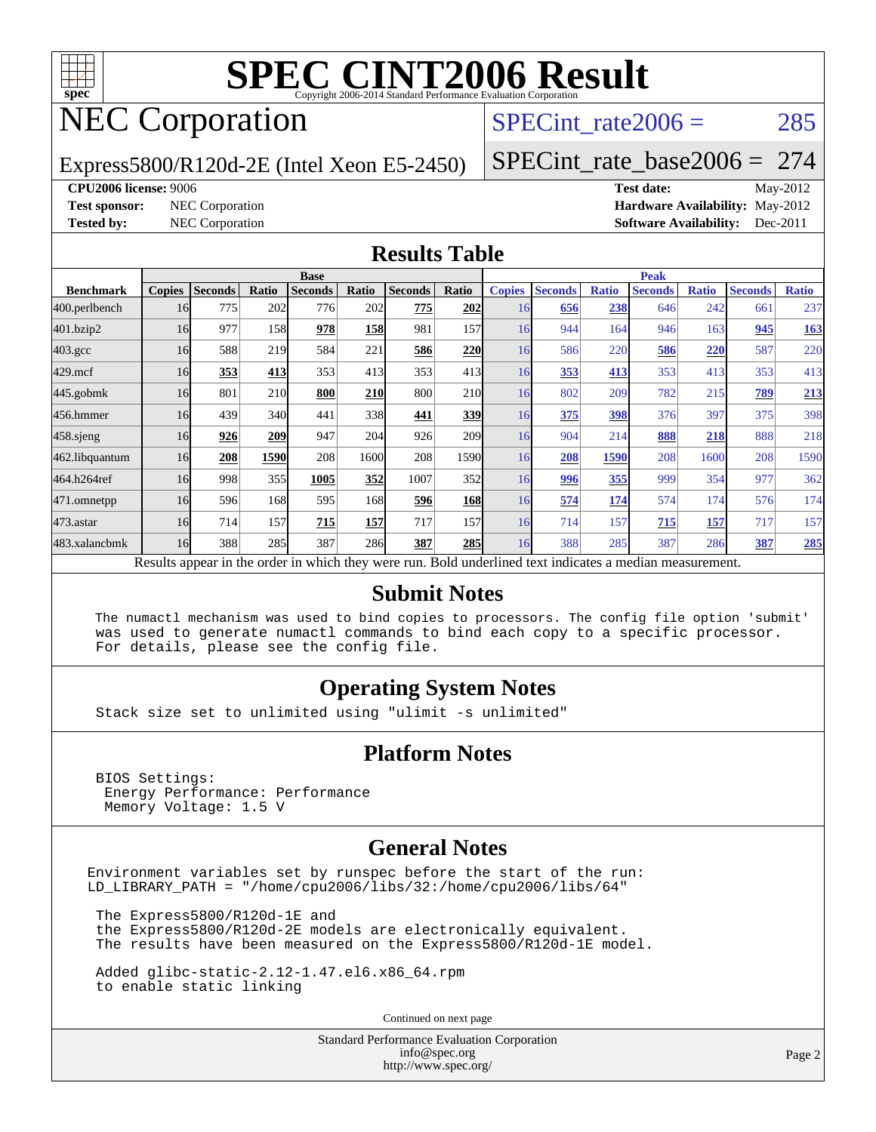

## NEC Corporation

### SPECint rate $2006 = 285$

Express5800/R120d-2E (Intel Xeon E5-2450)

[SPECint\\_rate\\_base2006 =](http://www.spec.org/auto/cpu2006/Docs/result-fields.html#SPECintratebase2006) 274

#### **[CPU2006 license:](http://www.spec.org/auto/cpu2006/Docs/result-fields.html#CPU2006license)** 9006 **[Test date:](http://www.spec.org/auto/cpu2006/Docs/result-fields.html#Testdate)** May-2012

**[Test sponsor:](http://www.spec.org/auto/cpu2006/Docs/result-fields.html#Testsponsor)** NEC Corporation **[Hardware Availability:](http://www.spec.org/auto/cpu2006/Docs/result-fields.html#HardwareAvailability)** May-2012 **[Tested by:](http://www.spec.org/auto/cpu2006/Docs/result-fields.html#Testedby)** NEC Corporation **[Software Availability:](http://www.spec.org/auto/cpu2006/Docs/result-fields.html#SoftwareAvailability)** Dec-2011

#### **[Results Table](http://www.spec.org/auto/cpu2006/Docs/result-fields.html#ResultsTable)**

|                                                                                                          | <b>Base</b>   |                |       |                |       |                |                  | <b>Peak</b>   |                |              |                |              |                |              |  |
|----------------------------------------------------------------------------------------------------------|---------------|----------------|-------|----------------|-------|----------------|------------------|---------------|----------------|--------------|----------------|--------------|----------------|--------------|--|
| <b>Benchmark</b>                                                                                         | <b>Copies</b> | <b>Seconds</b> | Ratio | <b>Seconds</b> | Ratio | <b>Seconds</b> | Ratio            | <b>Copies</b> | <b>Seconds</b> | <b>Ratio</b> | <b>Seconds</b> | <b>Ratio</b> | <b>Seconds</b> | <b>Ratio</b> |  |
| 400.perlbench                                                                                            | 16            | 775            | 202   | 776            | 202   | 775            | 202              | 16            | 656            | 238          | 646            | 242          | 661            | 237          |  |
| 401.bzip2                                                                                                | 16            | 977            | 158   | 978            | 158   | 981            | 157              | 16            | 944            | 164          | 946            | 163          | 945            | <b>163</b>   |  |
| $403.\mathrm{gcc}$                                                                                       | 16            | 588            | 219   | 584            | 221   | 586            | 220              | 16            | 586            | 220          | 586            | 220          | 587            | 220          |  |
| $429$ .mcf                                                                                               | 16            | 353            | 413   | 353            | 413   | 353            | 413              | 16            | 353            | 413          | 353            | 413          | 353            | 413          |  |
| $445$ .gobmk                                                                                             | 16            | 801            | 210   | 800            | 210   | 800            | <b>210</b>       | 16            | 802            | 209          | 782            | 215          | 789            | 213          |  |
| 456.hmmer                                                                                                | 16            | 439            | 340   | 441            | 338   | 441            | 339              | 16            | 375            | 398          | 376            | 397          | 375            | 398          |  |
| $458$ .sjeng                                                                                             | 16            | 926            | 209   | 947            | 204   | 926            | 209 <sub>1</sub> | 16            | 904            | 214          | 888            | 218          | 888            | 218          |  |
| 462.libquantum                                                                                           | 16            | 208            | 1590  | 208            | 1600  | 208            | 1590             | 16            | 208            | 1590         | 208            | 1600         | 208            | 1590         |  |
| 464.h264ref                                                                                              | 16            | 998            | 355   | 1005           | 352   | 1007           | 352              | 16            | 996            | 355          | 999            | 354          | 977            | 362          |  |
| 471.omnetpp                                                                                              | 16            | 596            | 168   | 595            | 168   | 596            | <b>168</b>       | 16            | 574            | 174          | 574            | 174          | 576            | 174          |  |
| 473.astar                                                                                                | 16            | 714            | 157   | 715            | 157   | 717            | 157              | 16            | 714            | 157          | 715            | 157          | 717            | 157          |  |
| 483.xalancbmk                                                                                            | 16            | 388            | 285   | 387            | 286   | 387            | <b>285</b>       | 16            | 388            | 285          | 387            | 286          | 387            | 285          |  |
| Results appear in the order in which they were run. Bold underlined text indicates a median measurement. |               |                |       |                |       |                |                  |               |                |              |                |              |                |              |  |

#### **[Submit Notes](http://www.spec.org/auto/cpu2006/Docs/result-fields.html#SubmitNotes)**

 The numactl mechanism was used to bind copies to processors. The config file option 'submit' was used to generate numactl commands to bind each copy to a specific processor. For details, please see the config file.

#### **[Operating System Notes](http://www.spec.org/auto/cpu2006/Docs/result-fields.html#OperatingSystemNotes)**

Stack size set to unlimited using "ulimit -s unlimited"

#### **[Platform Notes](http://www.spec.org/auto/cpu2006/Docs/result-fields.html#PlatformNotes)**

 BIOS Settings: Energy Performance: Performance Memory Voltage: 1.5 V

#### **[General Notes](http://www.spec.org/auto/cpu2006/Docs/result-fields.html#GeneralNotes)**

Environment variables set by runspec before the start of the run: LD\_LIBRARY\_PATH = "/home/cpu2006/libs/32:/home/cpu2006/libs/64"

 The Express5800/R120d-1E and the Express5800/R120d-2E models are electronically equivalent. The results have been measured on the Express5800/R120d-1E model.

 Added glibc-static-2.12-1.47.el6.x86\_64.rpm to enable static linking

Continued on next page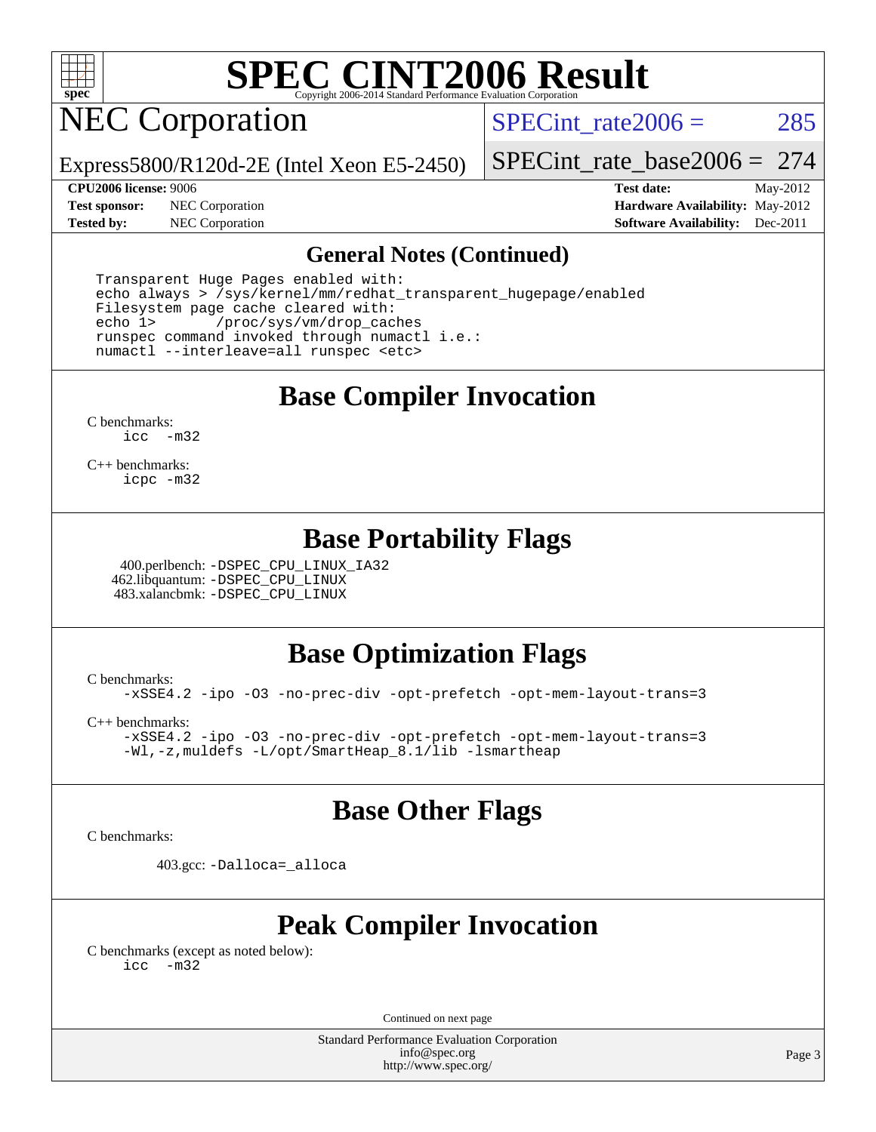

**NEC Corporation** 

SPECint rate $2006 = 285$ 

Express5800/R120d-2E (Intel Xeon E5-2450)

[SPECint\\_rate\\_base2006 =](http://www.spec.org/auto/cpu2006/Docs/result-fields.html#SPECintratebase2006) 274

**[Test sponsor:](http://www.spec.org/auto/cpu2006/Docs/result-fields.html#Testsponsor)** NEC Corporation **[Hardware Availability:](http://www.spec.org/auto/cpu2006/Docs/result-fields.html#HardwareAvailability)** May-2012

**[CPU2006 license:](http://www.spec.org/auto/cpu2006/Docs/result-fields.html#CPU2006license)** 9006 **[Test date:](http://www.spec.org/auto/cpu2006/Docs/result-fields.html#Testdate)** May-2012 **[Tested by:](http://www.spec.org/auto/cpu2006/Docs/result-fields.html#Testedby)** NEC Corporation **[Software Availability:](http://www.spec.org/auto/cpu2006/Docs/result-fields.html#SoftwareAvailability)** Dec-2011

#### **[General Notes \(Continued\)](http://www.spec.org/auto/cpu2006/Docs/result-fields.html#GeneralNotes)**

 Transparent Huge Pages enabled with: echo always > /sys/kernel/mm/redhat\_transparent\_hugepage/enabled Filesystem page cache cleared with: echo 1> /proc/sys/vm/drop\_caches runspec command invoked through numactl i.e.: numactl --interleave=all runspec <etc>

**[Base Compiler Invocation](http://www.spec.org/auto/cpu2006/Docs/result-fields.html#BaseCompilerInvocation)**

[C benchmarks](http://www.spec.org/auto/cpu2006/Docs/result-fields.html#Cbenchmarks): [icc -m32](http://www.spec.org/cpu2006/results/res2012q3/cpu2006-20120617-22951.flags.html#user_CCbase_intel_icc_5ff4a39e364c98233615fdd38438c6f2)

[C++ benchmarks:](http://www.spec.org/auto/cpu2006/Docs/result-fields.html#CXXbenchmarks) [icpc -m32](http://www.spec.org/cpu2006/results/res2012q3/cpu2006-20120617-22951.flags.html#user_CXXbase_intel_icpc_4e5a5ef1a53fd332b3c49e69c3330699)

### **[Base Portability Flags](http://www.spec.org/auto/cpu2006/Docs/result-fields.html#BasePortabilityFlags)**

 400.perlbench: [-DSPEC\\_CPU\\_LINUX\\_IA32](http://www.spec.org/cpu2006/results/res2012q3/cpu2006-20120617-22951.flags.html#b400.perlbench_baseCPORTABILITY_DSPEC_CPU_LINUX_IA32) 462.libquantum: [-DSPEC\\_CPU\\_LINUX](http://www.spec.org/cpu2006/results/res2012q3/cpu2006-20120617-22951.flags.html#b462.libquantum_baseCPORTABILITY_DSPEC_CPU_LINUX) 483.xalancbmk: [-DSPEC\\_CPU\\_LINUX](http://www.spec.org/cpu2006/results/res2012q3/cpu2006-20120617-22951.flags.html#b483.xalancbmk_baseCXXPORTABILITY_DSPEC_CPU_LINUX)

## **[Base Optimization Flags](http://www.spec.org/auto/cpu2006/Docs/result-fields.html#BaseOptimizationFlags)**

[C benchmarks](http://www.spec.org/auto/cpu2006/Docs/result-fields.html#Cbenchmarks):

[-xSSE4.2](http://www.spec.org/cpu2006/results/res2012q3/cpu2006-20120617-22951.flags.html#user_CCbase_f-xSSE42_f91528193cf0b216347adb8b939d4107) [-ipo](http://www.spec.org/cpu2006/results/res2012q3/cpu2006-20120617-22951.flags.html#user_CCbase_f-ipo) [-O3](http://www.spec.org/cpu2006/results/res2012q3/cpu2006-20120617-22951.flags.html#user_CCbase_f-O3) [-no-prec-div](http://www.spec.org/cpu2006/results/res2012q3/cpu2006-20120617-22951.flags.html#user_CCbase_f-no-prec-div) [-opt-prefetch](http://www.spec.org/cpu2006/results/res2012q3/cpu2006-20120617-22951.flags.html#user_CCbase_f-opt-prefetch) [-opt-mem-layout-trans=3](http://www.spec.org/cpu2006/results/res2012q3/cpu2006-20120617-22951.flags.html#user_CCbase_f-opt-mem-layout-trans_a7b82ad4bd7abf52556d4961a2ae94d5)

[C++ benchmarks:](http://www.spec.org/auto/cpu2006/Docs/result-fields.html#CXXbenchmarks)

[-xSSE4.2](http://www.spec.org/cpu2006/results/res2012q3/cpu2006-20120617-22951.flags.html#user_CXXbase_f-xSSE42_f91528193cf0b216347adb8b939d4107) [-ipo](http://www.spec.org/cpu2006/results/res2012q3/cpu2006-20120617-22951.flags.html#user_CXXbase_f-ipo) [-O3](http://www.spec.org/cpu2006/results/res2012q3/cpu2006-20120617-22951.flags.html#user_CXXbase_f-O3) [-no-prec-div](http://www.spec.org/cpu2006/results/res2012q3/cpu2006-20120617-22951.flags.html#user_CXXbase_f-no-prec-div) [-opt-prefetch](http://www.spec.org/cpu2006/results/res2012q3/cpu2006-20120617-22951.flags.html#user_CXXbase_f-opt-prefetch) [-opt-mem-layout-trans=3](http://www.spec.org/cpu2006/results/res2012q3/cpu2006-20120617-22951.flags.html#user_CXXbase_f-opt-mem-layout-trans_a7b82ad4bd7abf52556d4961a2ae94d5) [-Wl,-z,muldefs](http://www.spec.org/cpu2006/results/res2012q3/cpu2006-20120617-22951.flags.html#user_CXXbase_link_force_multiple1_74079c344b956b9658436fd1b6dd3a8a) [-L/opt/SmartHeap\\_8.1/lib -lsmartheap](http://www.spec.org/cpu2006/results/res2012q3/cpu2006-20120617-22951.flags.html#user_CXXbase_SmartHeap_d5ba4dfc9de25d3c657c7de7476e66c5)

### **[Base Other Flags](http://www.spec.org/auto/cpu2006/Docs/result-fields.html#BaseOtherFlags)**

[C benchmarks](http://www.spec.org/auto/cpu2006/Docs/result-fields.html#Cbenchmarks):

403.gcc: [-Dalloca=\\_alloca](http://www.spec.org/cpu2006/results/res2012q3/cpu2006-20120617-22951.flags.html#b403.gcc_baseEXTRA_CFLAGS_Dalloca_be3056838c12de2578596ca5467af7f3)

## **[Peak Compiler Invocation](http://www.spec.org/auto/cpu2006/Docs/result-fields.html#PeakCompilerInvocation)**

[C benchmarks \(except as noted below\)](http://www.spec.org/auto/cpu2006/Docs/result-fields.html#Cbenchmarksexceptasnotedbelow): [icc -m32](http://www.spec.org/cpu2006/results/res2012q3/cpu2006-20120617-22951.flags.html#user_CCpeak_intel_icc_5ff4a39e364c98233615fdd38438c6f2)

Continued on next page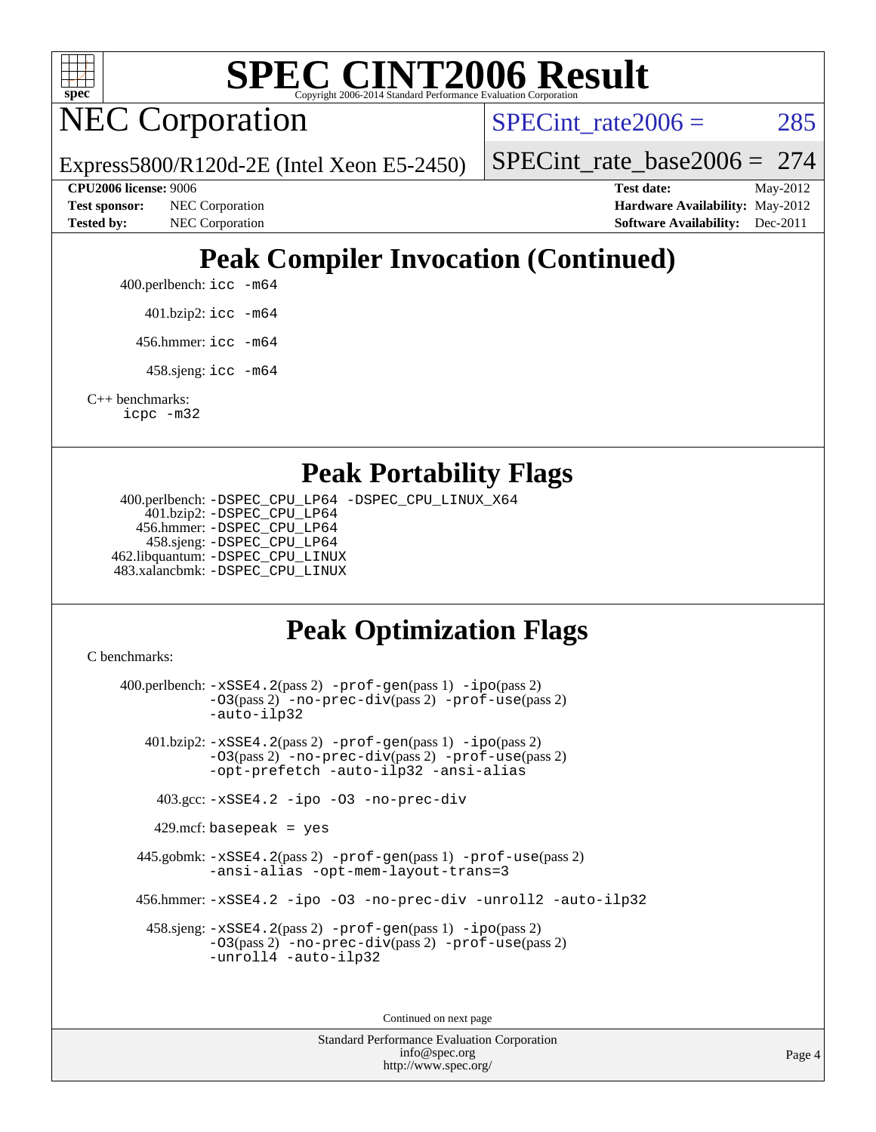

NEC Corporation

SPECint rate $2006 = 285$ 

Express5800/R120d-2E (Intel Xeon E5-2450)

[SPECint\\_rate\\_base2006 =](http://www.spec.org/auto/cpu2006/Docs/result-fields.html#SPECintratebase2006) 274

**[CPU2006 license:](http://www.spec.org/auto/cpu2006/Docs/result-fields.html#CPU2006license)** 9006 **[Test date:](http://www.spec.org/auto/cpu2006/Docs/result-fields.html#Testdate)** May-2012 **[Test sponsor:](http://www.spec.org/auto/cpu2006/Docs/result-fields.html#Testsponsor)** NEC Corporation **NEC Corporation [Hardware Availability:](http://www.spec.org/auto/cpu2006/Docs/result-fields.html#HardwareAvailability)** May-2012 **[Tested by:](http://www.spec.org/auto/cpu2006/Docs/result-fields.html#Testedby)** NEC Corporation **[Software Availability:](http://www.spec.org/auto/cpu2006/Docs/result-fields.html#SoftwareAvailability)** Dec-2011

## **[Peak Compiler Invocation \(Continued\)](http://www.spec.org/auto/cpu2006/Docs/result-fields.html#PeakCompilerInvocation)**

400.perlbench: [icc -m64](http://www.spec.org/cpu2006/results/res2012q3/cpu2006-20120617-22951.flags.html#user_peakCCLD400_perlbench_intel_icc_64bit_bda6cc9af1fdbb0edc3795bac97ada53)

401.bzip2: [icc -m64](http://www.spec.org/cpu2006/results/res2012q3/cpu2006-20120617-22951.flags.html#user_peakCCLD401_bzip2_intel_icc_64bit_bda6cc9af1fdbb0edc3795bac97ada53)

456.hmmer: [icc -m64](http://www.spec.org/cpu2006/results/res2012q3/cpu2006-20120617-22951.flags.html#user_peakCCLD456_hmmer_intel_icc_64bit_bda6cc9af1fdbb0edc3795bac97ada53)

458.sjeng: [icc -m64](http://www.spec.org/cpu2006/results/res2012q3/cpu2006-20120617-22951.flags.html#user_peakCCLD458_sjeng_intel_icc_64bit_bda6cc9af1fdbb0edc3795bac97ada53)

[C++ benchmarks:](http://www.spec.org/auto/cpu2006/Docs/result-fields.html#CXXbenchmarks) [icpc -m32](http://www.spec.org/cpu2006/results/res2012q3/cpu2006-20120617-22951.flags.html#user_CXXpeak_intel_icpc_4e5a5ef1a53fd332b3c49e69c3330699)

### **[Peak Portability Flags](http://www.spec.org/auto/cpu2006/Docs/result-fields.html#PeakPortabilityFlags)**

 400.perlbench: [-DSPEC\\_CPU\\_LP64](http://www.spec.org/cpu2006/results/res2012q3/cpu2006-20120617-22951.flags.html#b400.perlbench_peakCPORTABILITY_DSPEC_CPU_LP64) [-DSPEC\\_CPU\\_LINUX\\_X64](http://www.spec.org/cpu2006/results/res2012q3/cpu2006-20120617-22951.flags.html#b400.perlbench_peakCPORTABILITY_DSPEC_CPU_LINUX_X64) 401.bzip2: [-DSPEC\\_CPU\\_LP64](http://www.spec.org/cpu2006/results/res2012q3/cpu2006-20120617-22951.flags.html#suite_peakCPORTABILITY401_bzip2_DSPEC_CPU_LP64) 456.hmmer: [-DSPEC\\_CPU\\_LP64](http://www.spec.org/cpu2006/results/res2012q3/cpu2006-20120617-22951.flags.html#suite_peakCPORTABILITY456_hmmer_DSPEC_CPU_LP64) 458.sjeng: [-DSPEC\\_CPU\\_LP64](http://www.spec.org/cpu2006/results/res2012q3/cpu2006-20120617-22951.flags.html#suite_peakCPORTABILITY458_sjeng_DSPEC_CPU_LP64) 462.libquantum: [-DSPEC\\_CPU\\_LINUX](http://www.spec.org/cpu2006/results/res2012q3/cpu2006-20120617-22951.flags.html#b462.libquantum_peakCPORTABILITY_DSPEC_CPU_LINUX) 483.xalancbmk: [-DSPEC\\_CPU\\_LINUX](http://www.spec.org/cpu2006/results/res2012q3/cpu2006-20120617-22951.flags.html#b483.xalancbmk_peakCXXPORTABILITY_DSPEC_CPU_LINUX)

## **[Peak Optimization Flags](http://www.spec.org/auto/cpu2006/Docs/result-fields.html#PeakOptimizationFlags)**

[C benchmarks](http://www.spec.org/auto/cpu2006/Docs/result-fields.html#Cbenchmarks):

 400.perlbench: [-xSSE4.2](http://www.spec.org/cpu2006/results/res2012q3/cpu2006-20120617-22951.flags.html#user_peakPASS2_CFLAGSPASS2_LDCFLAGS400_perlbench_f-xSSE42_f91528193cf0b216347adb8b939d4107)(pass 2) [-prof-gen](http://www.spec.org/cpu2006/results/res2012q3/cpu2006-20120617-22951.flags.html#user_peakPASS1_CFLAGSPASS1_LDCFLAGS400_perlbench_prof_gen_e43856698f6ca7b7e442dfd80e94a8fc)(pass 1) [-ipo](http://www.spec.org/cpu2006/results/res2012q3/cpu2006-20120617-22951.flags.html#user_peakPASS2_CFLAGSPASS2_LDCFLAGS400_perlbench_f-ipo)(pass 2) [-O3](http://www.spec.org/cpu2006/results/res2012q3/cpu2006-20120617-22951.flags.html#user_peakPASS2_CFLAGSPASS2_LDCFLAGS400_perlbench_f-O3)(pass 2) [-no-prec-div](http://www.spec.org/cpu2006/results/res2012q3/cpu2006-20120617-22951.flags.html#user_peakPASS2_CFLAGSPASS2_LDCFLAGS400_perlbench_f-no-prec-div)(pass 2) [-prof-use](http://www.spec.org/cpu2006/results/res2012q3/cpu2006-20120617-22951.flags.html#user_peakPASS2_CFLAGSPASS2_LDCFLAGS400_perlbench_prof_use_bccf7792157ff70d64e32fe3e1250b55)(pass 2) [-auto-ilp32](http://www.spec.org/cpu2006/results/res2012q3/cpu2006-20120617-22951.flags.html#user_peakCOPTIMIZE400_perlbench_f-auto-ilp32) 401.bzip2: [-xSSE4.2](http://www.spec.org/cpu2006/results/res2012q3/cpu2006-20120617-22951.flags.html#user_peakPASS2_CFLAGSPASS2_LDCFLAGS401_bzip2_f-xSSE42_f91528193cf0b216347adb8b939d4107)(pass 2) [-prof-gen](http://www.spec.org/cpu2006/results/res2012q3/cpu2006-20120617-22951.flags.html#user_peakPASS1_CFLAGSPASS1_LDCFLAGS401_bzip2_prof_gen_e43856698f6ca7b7e442dfd80e94a8fc)(pass 1) [-ipo](http://www.spec.org/cpu2006/results/res2012q3/cpu2006-20120617-22951.flags.html#user_peakPASS2_CFLAGSPASS2_LDCFLAGS401_bzip2_f-ipo)(pass 2) [-O3](http://www.spec.org/cpu2006/results/res2012q3/cpu2006-20120617-22951.flags.html#user_peakPASS2_CFLAGSPASS2_LDCFLAGS401_bzip2_f-O3)(pass 2) [-no-prec-div](http://www.spec.org/cpu2006/results/res2012q3/cpu2006-20120617-22951.flags.html#user_peakPASS2_CFLAGSPASS2_LDCFLAGS401_bzip2_f-no-prec-div)(pass 2) [-prof-use](http://www.spec.org/cpu2006/results/res2012q3/cpu2006-20120617-22951.flags.html#user_peakPASS2_CFLAGSPASS2_LDCFLAGS401_bzip2_prof_use_bccf7792157ff70d64e32fe3e1250b55)(pass 2) [-opt-prefetch](http://www.spec.org/cpu2006/results/res2012q3/cpu2006-20120617-22951.flags.html#user_peakCOPTIMIZE401_bzip2_f-opt-prefetch) [-auto-ilp32](http://www.spec.org/cpu2006/results/res2012q3/cpu2006-20120617-22951.flags.html#user_peakCOPTIMIZE401_bzip2_f-auto-ilp32) [-ansi-alias](http://www.spec.org/cpu2006/results/res2012q3/cpu2006-20120617-22951.flags.html#user_peakCOPTIMIZE401_bzip2_f-ansi-alias) 403.gcc: [-xSSE4.2](http://www.spec.org/cpu2006/results/res2012q3/cpu2006-20120617-22951.flags.html#user_peakCOPTIMIZE403_gcc_f-xSSE42_f91528193cf0b216347adb8b939d4107) [-ipo](http://www.spec.org/cpu2006/results/res2012q3/cpu2006-20120617-22951.flags.html#user_peakCOPTIMIZE403_gcc_f-ipo) [-O3](http://www.spec.org/cpu2006/results/res2012q3/cpu2006-20120617-22951.flags.html#user_peakCOPTIMIZE403_gcc_f-O3) [-no-prec-div](http://www.spec.org/cpu2006/results/res2012q3/cpu2006-20120617-22951.flags.html#user_peakCOPTIMIZE403_gcc_f-no-prec-div)  $429$ .mcf: basepeak = yes 445.gobmk: [-xSSE4.2](http://www.spec.org/cpu2006/results/res2012q3/cpu2006-20120617-22951.flags.html#user_peakPASS2_CFLAGSPASS2_LDCFLAGS445_gobmk_f-xSSE42_f91528193cf0b216347adb8b939d4107)(pass 2) [-prof-gen](http://www.spec.org/cpu2006/results/res2012q3/cpu2006-20120617-22951.flags.html#user_peakPASS1_CFLAGSPASS1_LDCFLAGS445_gobmk_prof_gen_e43856698f6ca7b7e442dfd80e94a8fc)(pass 1) [-prof-use](http://www.spec.org/cpu2006/results/res2012q3/cpu2006-20120617-22951.flags.html#user_peakPASS2_CFLAGSPASS2_LDCFLAGS445_gobmk_prof_use_bccf7792157ff70d64e32fe3e1250b55)(pass 2) [-ansi-alias](http://www.spec.org/cpu2006/results/res2012q3/cpu2006-20120617-22951.flags.html#user_peakCOPTIMIZE445_gobmk_f-ansi-alias) [-opt-mem-layout-trans=3](http://www.spec.org/cpu2006/results/res2012q3/cpu2006-20120617-22951.flags.html#user_peakCOPTIMIZE445_gobmk_f-opt-mem-layout-trans_a7b82ad4bd7abf52556d4961a2ae94d5) 456.hmmer: [-xSSE4.2](http://www.spec.org/cpu2006/results/res2012q3/cpu2006-20120617-22951.flags.html#user_peakCOPTIMIZE456_hmmer_f-xSSE42_f91528193cf0b216347adb8b939d4107) [-ipo](http://www.spec.org/cpu2006/results/res2012q3/cpu2006-20120617-22951.flags.html#user_peakCOPTIMIZE456_hmmer_f-ipo) [-O3](http://www.spec.org/cpu2006/results/res2012q3/cpu2006-20120617-22951.flags.html#user_peakCOPTIMIZE456_hmmer_f-O3) [-no-prec-div](http://www.spec.org/cpu2006/results/res2012q3/cpu2006-20120617-22951.flags.html#user_peakCOPTIMIZE456_hmmer_f-no-prec-div) [-unroll2](http://www.spec.org/cpu2006/results/res2012q3/cpu2006-20120617-22951.flags.html#user_peakCOPTIMIZE456_hmmer_f-unroll_784dae83bebfb236979b41d2422d7ec2) [-auto-ilp32](http://www.spec.org/cpu2006/results/res2012q3/cpu2006-20120617-22951.flags.html#user_peakCOPTIMIZE456_hmmer_f-auto-ilp32) 458.sjeng: [-xSSE4.2](http://www.spec.org/cpu2006/results/res2012q3/cpu2006-20120617-22951.flags.html#user_peakPASS2_CFLAGSPASS2_LDCFLAGS458_sjeng_f-xSSE42_f91528193cf0b216347adb8b939d4107)(pass 2) [-prof-gen](http://www.spec.org/cpu2006/results/res2012q3/cpu2006-20120617-22951.flags.html#user_peakPASS1_CFLAGSPASS1_LDCFLAGS458_sjeng_prof_gen_e43856698f6ca7b7e442dfd80e94a8fc)(pass 1) [-ipo](http://www.spec.org/cpu2006/results/res2012q3/cpu2006-20120617-22951.flags.html#user_peakPASS2_CFLAGSPASS2_LDCFLAGS458_sjeng_f-ipo)(pass 2) [-O3](http://www.spec.org/cpu2006/results/res2012q3/cpu2006-20120617-22951.flags.html#user_peakPASS2_CFLAGSPASS2_LDCFLAGS458_sjeng_f-O3)(pass 2) [-no-prec-div](http://www.spec.org/cpu2006/results/res2012q3/cpu2006-20120617-22951.flags.html#user_peakPASS2_CFLAGSPASS2_LDCFLAGS458_sjeng_f-no-prec-div)(pass 2) [-prof-use](http://www.spec.org/cpu2006/results/res2012q3/cpu2006-20120617-22951.flags.html#user_peakPASS2_CFLAGSPASS2_LDCFLAGS458_sjeng_prof_use_bccf7792157ff70d64e32fe3e1250b55)(pass 2) [-unroll4](http://www.spec.org/cpu2006/results/res2012q3/cpu2006-20120617-22951.flags.html#user_peakCOPTIMIZE458_sjeng_f-unroll_4e5e4ed65b7fd20bdcd365bec371b81f) [-auto-ilp32](http://www.spec.org/cpu2006/results/res2012q3/cpu2006-20120617-22951.flags.html#user_peakCOPTIMIZE458_sjeng_f-auto-ilp32) Continued on next page